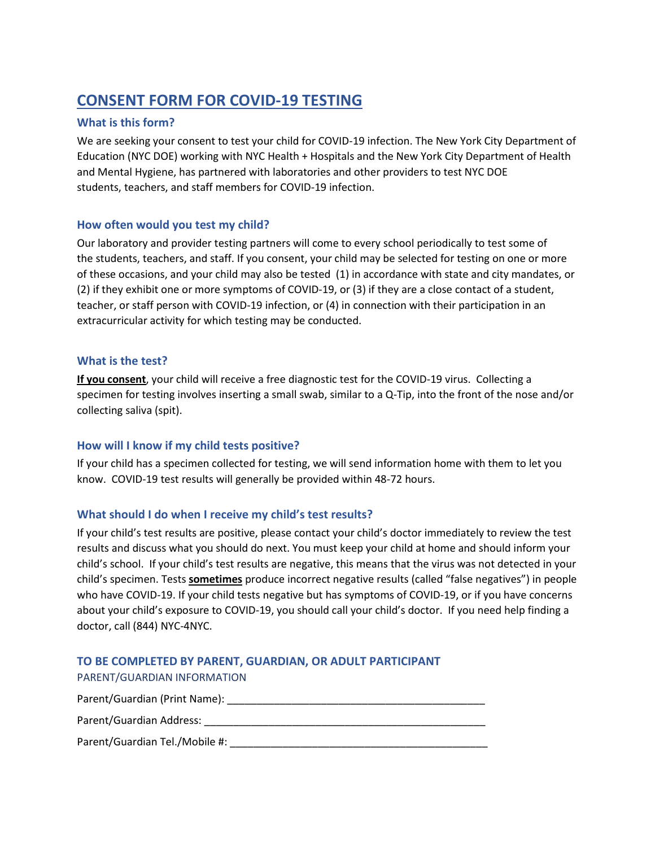# **CONSENT FORM FOR COVID-19 TESTING**

### **What is this form?**

We are seeking your consent to test your child for COVID-19 infection. The New York City Department of Education (NYC DOE) working with NYC Health + Hospitals and the New York City Department of Health and Mental Hygiene, has partnered with laboratories and other providers to test NYC DOE students, teachers, and staff members for COVID-19 infection.

### **How often would you test my child?**

Our laboratory and provider testing partners will come to every school periodically to test some of the students, teachers, and staff. If you consent, your child may be selected for testing on one or more of these occasions, and your child may also be tested (1) in accordance with state and city mandates, or (2) if they exhibit one or more symptoms of COVID-19, or (3) if they are a close contact of a student, teacher, or staff person with COVID-19 infection, or (4) in connection with their participation in an extracurricular activity for which testing may be conducted.

### **What is the test?**

**If you consent**, your child will receive a free diagnostic test for the COVID-19 virus. Collecting a specimen for testing involves inserting a small swab, similar to a Q-Tip, into the front of the nose and/or collecting saliva (spit).

### **How will I know if my child tests positive?**

If your child has a specimen collected for testing, we will send information home with them to let you know. COVID-19 test results will generally be provided within 48-72 hours.

### **What should I do when I receive my child's test results?**

If your child's test results are positive, please contact your child's doctor immediately to review the test results and discuss what you should do next. You must keep your child at home and should inform your child's school. If your child's test results are negative, this means that the virus was not detected in your child's specimen. Tests **sometimes** produce incorrect negative results (called "false negatives") in people who have COVID-19. If your child tests negative but has symptoms of COVID-19, or if you have concerns about your child's exposure to COVID-19, you should call your child's doctor. If you need help finding a doctor, call (844) NYC-4NYC.

# **TO BE COMPLETED BY PARENT, GUARDIAN, OR ADULT PARTICIPANT**

PARENT/GUARDIAN INFORMATION

| Parent/Guardian (Print Name): |  |  |
|-------------------------------|--|--|
|                               |  |  |

## Parent/Guardian Address: \_\_\_\_\_\_\_\_\_\_\_\_\_\_\_\_\_\_\_\_\_\_\_\_\_\_\_\_\_\_\_\_\_\_\_\_\_\_\_\_\_\_\_\_\_\_\_\_

Parent/Guardian Tel./Mobile #: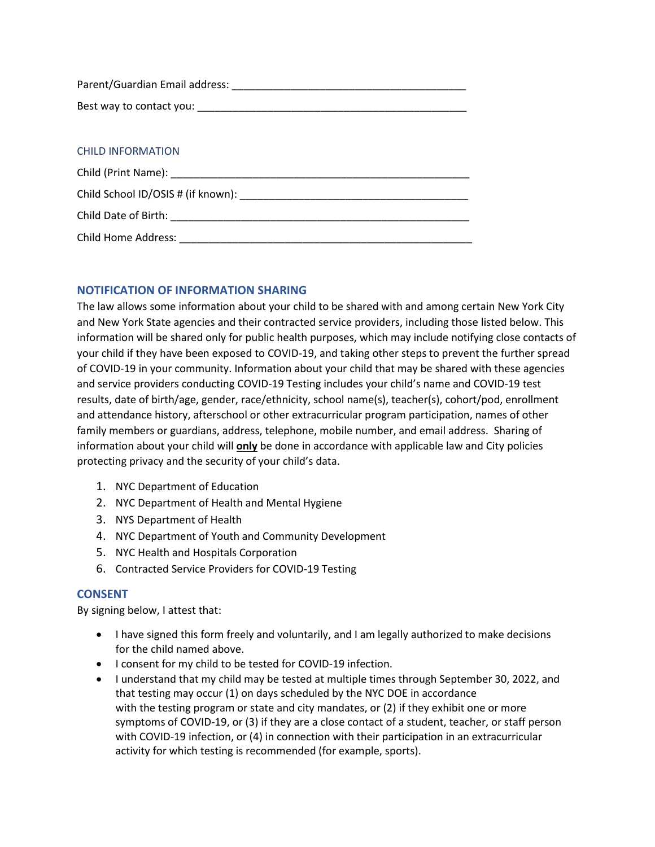| Parent/Guardian Email address: |  |
|--------------------------------|--|
| Best way to contact you:       |  |

### CHILD INFORMATION

| Child Date of Birth: The Child Date of Birth: |  |
|-----------------------------------------------|--|
| Child Home Address:                           |  |

### **NOTIFICATION OF INFORMATION SHARING**

The law allows some information about your child to be shared with and among certain New York City and New York State agencies and their contracted service providers, including those listed below. This information will be shared only for public health purposes, which may include notifying close contacts of your child if they have been exposed to COVID-19, and taking other steps to prevent the further spread of COVID-19 in your community. Information about your child that may be shared with these agencies and service providers conducting COVID-19 Testing includes your child's name and COVID-19 test results, date of birth/age, gender, race/ethnicity, school name(s), teacher(s), cohort/pod, enrollment and attendance history, afterschool or other extracurricular program participation, names of other family members or guardians, address, telephone, mobile number, and email address. Sharing of information about your child will **only** be done in accordance with applicable law and City policies protecting privacy and the security of your child's data.

- 1. NYC Department of Education
- 2. NYC Department of Health and Mental Hygiene
- 3. NYS Department of Health
- 4. NYC Department of Youth and Community Development
- 5. NYC Health and Hospitals Corporation
- 6. Contracted Service Providers for COVID-19 Testing

#### **CONSENT**

By signing below, I attest that:

- I have signed this form freely and voluntarily, and I am legally authorized to make decisions for the child named above.
- I consent for my child to be tested for COVID-19 infection.
- I understand that my child may be tested at multiple times through September 30, 2022, and that testing may occur (1) on days scheduled by the NYC DOE in accordance with the testing program or state and city mandates, or (2) if they exhibit one or more symptoms of COVID-19, or (3) if they are a close contact of a student, teacher, or staff person with COVID-19 infection, or (4) in connection with their participation in an extracurricular activity for which testing is recommended (for example, sports).